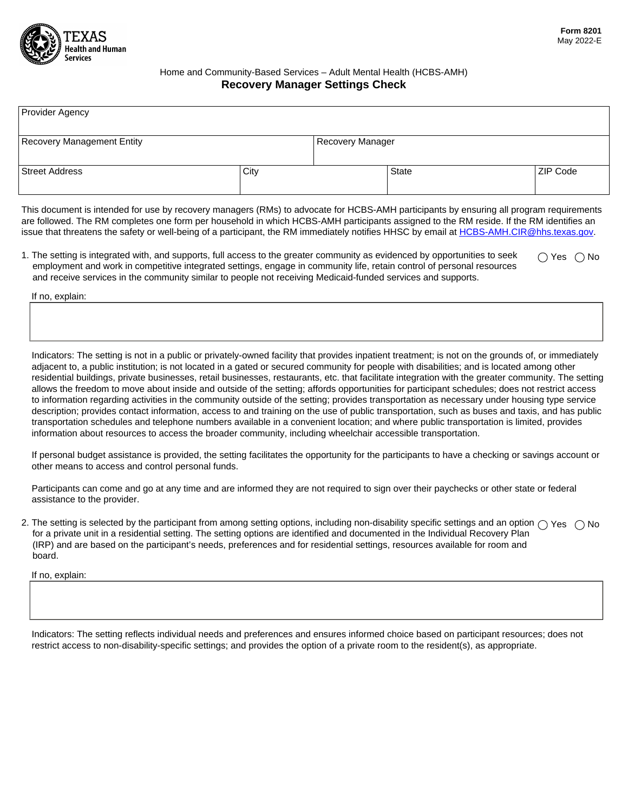

## Home and Community-Based Services – Adult Mental Health (HCBS-AMH) **Recovery Manager Settings Check**

| Provider Agency                   |      |                  |              |          |
|-----------------------------------|------|------------------|--------------|----------|
|                                   |      |                  |              |          |
| <b>Recovery Management Entity</b> |      | Recovery Manager |              |          |
|                                   |      |                  |              |          |
| <b>Street Address</b>             | City |                  | <b>State</b> | ZIP Code |
|                                   |      |                  |              |          |

This document is intended for use by recovery managers (RMs) to advocate for HCBS-AMH participants by ensuring all program requirements are followed. The RM completes one form per household in which HCBS-AMH participants assigned to the RM reside. If the RM identifies an issue that threatens the safety or well-being of a participant, the RM immediately notifies HHSC by email at [HCBS-AMH.CIR@hhs.texas.gov.](mailto:HCBS-AMH.CIR@hhs.texas.gov)

1. The setting is integrated with, and supports, full access to the greater community as evidenced by opportunities to seek employment and work in competitive integrated settings, engage in community life, retain control of personal resources and receive services in the community similar to people not receiving Medicaid-funded services and supports.  $\bigcap$  Yes  $\bigcap$  No

If no, explain:

Indicators: The setting is not in a public or privately-owned facility that provides inpatient treatment; is not on the grounds of, or immediately adjacent to, a public institution; is not located in a gated or secured community for people with disabilities; and is located among other residential buildings, private businesses, retail businesses, restaurants, etc. that facilitate integration with the greater community. The setting allows the freedom to move about inside and outside of the setting; affords opportunities for participant schedules; does not restrict access to information regarding activities in the community outside of the setting; provides transportation as necessary under housing type service description; provides contact information, access to and training on the use of public transportation, such as buses and taxis, and has public transportation schedules and telephone numbers available in a convenient location; and where public transportation is limited, provides information about resources to access the broader community, including wheelchair accessible transportation.

If personal budget assistance is provided, the setting facilitates the opportunity for the participants to have a checking or savings account or other means to access and control personal funds.

Participants can come and go at any time and are informed they are not required to sign over their paychecks or other state or federal assistance to the provider.

2. The setting is selected by the participant from among setting options, including non-disability specific settings and an option  $\bigcirc$  Yes  $\;\bigcirc$  No for a private unit in a residential setting. The setting options are identified and documented in the Individual Recovery Plan (IRP) and are based on the participant's needs, preferences and for residential settings, resources available for room and board.

If no, explain:

Indicators: The setting reflects individual needs and preferences and ensures informed choice based on participant resources; does not restrict access to non-disability-specific settings; and provides the option of a private room to the resident(s), as appropriate.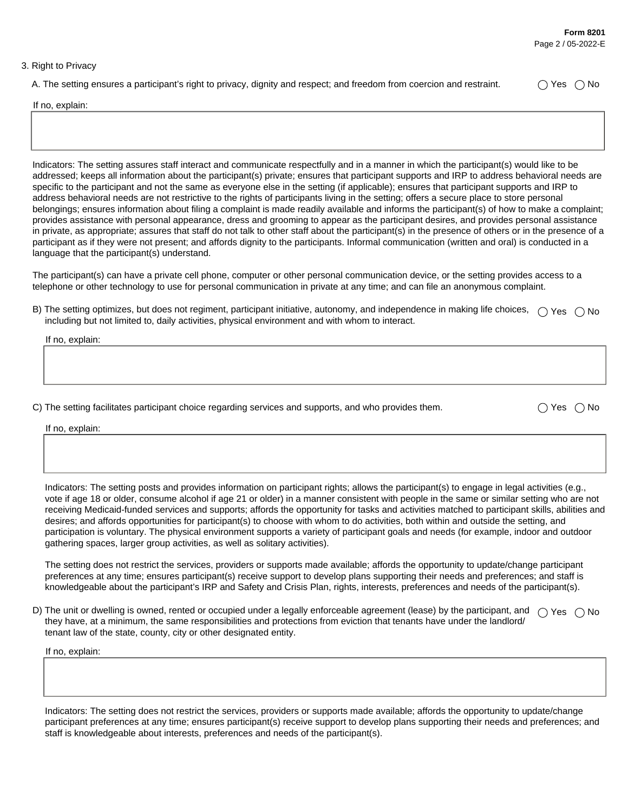## 3. Right to Privacy

A. The setting ensures a participant's right to privacy, dignity and respect; and freedom from coercion and restraint.  $\bigcirc$  Yes  $\bigcirc$  No

If no, explain:

Indicators: The setting assures staff interact and communicate respectfully and in a manner in which the participant(s) would like to be addressed; keeps all information about the participant(s) private; ensures that participant supports and IRP to address behavioral needs are specific to the participant and not the same as everyone else in the setting (if applicable); ensures that participant supports and IRP to address behavioral needs are not restrictive to the rights of participants living in the setting; offers a secure place to store personal belongings; ensures information about filing a complaint is made readily available and informs the participant(s) of how to make a complaint; provides assistance with personal appearance, dress and grooming to appear as the participant desires, and provides personal assistance in private, as appropriate; assures that staff do not talk to other staff about the participant(s) in the presence of others or in the presence of a participant as if they were not present; and affords dignity to the participants. Informal communication (written and oral) is conducted in a language that the participant(s) understand.

The participant(s) can have a private cell phone, computer or other personal communication device, or the setting provides access to a telephone or other technology to use for personal communication in private at any time; and can file an anonymous complaint.

B) The setting optimizes, but does not regiment, participant initiative, autonomy, and independence in making life choices,  $\;\bigcirc$  Yes  $\;\bigcirc$  No including but not limited to, daily activities, physical environment and with whom to interact.

If no, explain:

C) The setting facilitates participant choice regarding services and supports, and who provides them.  $\bigcirc$  Yes  $\bigcirc$  No

If no, explain:

Indicators: The setting posts and provides information on participant rights; allows the participant(s) to engage in legal activities (e.g., vote if age 18 or older, consume alcohol if age 21 or older) in a manner consistent with people in the same or similar setting who are not receiving Medicaid-funded services and supports; affords the opportunity for tasks and activities matched to participant skills, abilities and desires; and affords opportunities for participant(s) to choose with whom to do activities, both within and outside the setting, and participation is voluntary. The physical environment supports a variety of participant goals and needs (for example, indoor and outdoor gathering spaces, larger group activities, as well as solitary activities).

The setting does not restrict the services, providers or supports made available; affords the opportunity to update/change participant preferences at any time; ensures participant(s) receive support to develop plans supporting their needs and preferences; and staff is knowledgeable about the participant's IRP and Safety and Crisis Plan, rights, interests, preferences and needs of the participant(s).

D) The unit or dwelling is owned, rented or occupied under a legally enforceable agreement (lease) by the participant, and  $\;\bigcirc$  Yes  $\;\bigcirc$  No they have, at a minimum, the same responsibilities and protections from eviction that tenants have under the landlord/ tenant law of the state, county, city or other designated entity.

If no, explain:

Indicators: The setting does not restrict the services, providers or supports made available; affords the opportunity to update/change participant preferences at any time; ensures participant(s) receive support to develop plans supporting their needs and preferences; and staff is knowledgeable about interests, preferences and needs of the participant(s).